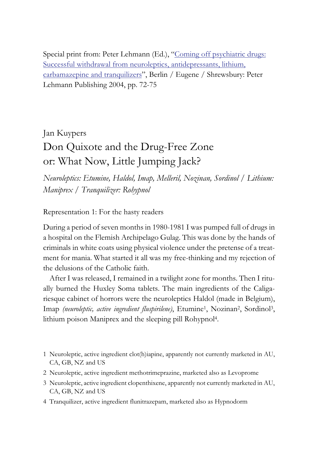Special print from: Peter Lehmann (Ed.), "Coming off psychiatric drugs: Successful withdrawal from neuroleptics, antidepressants, lithium, carbamazepine and tranquilizers", Berlin / Eugene / Shrewsbury: Peter Lehmann Publishing 2004, pp. 72-75

Jan Kuypers

# Don Quixote and the Drug-Free Zone or: What Now, Little Jumping Jack?

*Neuroleptics: Etumine, Haldol, Imap, Melleril, Nozinan, Sordinol / Lithium: Maniprex / Tranquilizer: Rohypnol*

Representation 1: For the hasty readers

During a period of seven months in 1980-1981 I was pumped full of drugs in a hospital on the Flemish Archipelago Gulag. This was done by the hands of criminals in white coats using physical violence under the pretense of a treatment for mania. What started it all was my free-thinking and my rejection of the delusions of the Catholic faith.

After I was released, I remained in a twilight zone for months. Then I ritually burned the Huxley Soma tablets. The main ingredients of the Caligariesque cabinet of horrors were the neuroleptics Haldol (made in Belgium), Imap *(neuroleptic, active ingredient fluspirilene)*, Etumine<sup>1</sup>, Nozinan<sup>2</sup>, Sordinol<sup>3</sup>, lithium poison Maniprex and the sleeping pill Rohypnol4.

- 1 Neuroleptic, active ingredient clot(h)iapine, apparently not currently marketed in AU, CA, GB, NZ and US
- 2 Neuroleptic, active ingredient methotrimeprazine, marketed also as Levoprome
- 3 Neuroleptic, active ingredient clopenthixene, apparently not currently marketed in AU, CA, GB, NZ and US
- 4 Tranquilizer, active ingredient flunitrazepam, marketed also as Hypnodorm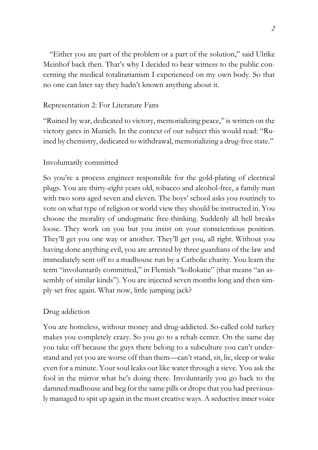"Either you are part of the problem or a part of the solution," said Ulrike Meinhof back then. That's why I decided to bear witness to the public concerning the medical totalitarianism I experienced on my own body. So that no one can later say they hadn't known anything about it.

## Representation 2: For Literature Fans

"Ruined by war, dedicated to victory, memorializing peace," is written on the victory gates in Munich. In the context of our subject this would read: "Ruined by chemistry, dedicated to withdrawal, memorializing a drug-free state."

### Involuntarily committed

So you're a process engineer responsible for the gold-plating of electrical plugs. You are thirty-eight years old, tobacco and alcohol-free, a family man with two sons aged seven and eleven. The boys' school asks you routinely to vote on what type of religion or world view they should be instructed in. You choose the morality of undogmatic free-thinking. Suddenly all hell breaks loose. They work on you but you insist on your conscientious position. They'll get you one way or another. They'll get you, all right. Without you having done anything evil, you are arrested by three guardians of the law and immediately sent off to a madhouse run by a Catholic charity. You learn the term "involuntarily committed," in Flemish "kollokatie" (that means "an assembly of similar kinds"). You are injected seven months long and then simply set free again. What now, little jumping jack?

### Drug addiction

You are homeless, without money and drug-addicted. So-called cold turkey makes you completely crazy. So you go to a rehab center. On the same day you take off because the guys there belong to a subculture you can't understand and yet you are worse off than them—can't stand, sit, lie, sleep or wake even for a minute. Your soul leaks out like water through a sieve. You ask the fool in the mirror what he's doing there. Involuntarily you go back to the damned madhouse and beg for the same pills or drops that you had previously managed to spit up again in the most creative ways. A seductive inner voice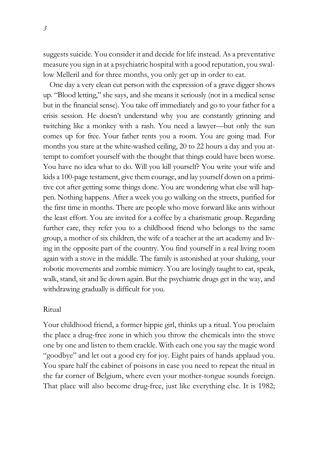suggests suicide. You consider it and decide for life instead. As a preventative measure you sign in at a psychiatric hospital with a good reputation, you swallow Melleril and for three months, you only get up in order to eat.

One day a very clean cut person with the expression of a grave digger shows up. "Blood letting," she says, and she means it seriously (not in a medical sense but in the financial sense). You take off immediately and go to your father for a crisis session. He doesn't understand why you are constantly grinning and twitching like a monkey with a rash. You need a lawyer—but only the sun comes up for free. Your father rents you a room. You are going mad. For months you stare at the white-washed ceiling, 20 to 22 hours a day and you attempt to comfort yourself with the thought that things could have been worse. You have no idea what to do. Will you kill yourself? You write your wife and kids a 100-page testament, give them courage, and lay yourself down on a primitive cot after getting some things done. You are wondering what else will happen. Nothing happens. After a week you go walking on the streets, purified for the first time in months. There are people who move forward like ants without the least effort. You are invited for a coffee by a charismatic group. Regarding further care, they refer you to a childhood friend who belongs to the same group, a mother of six children, the wife of a teacher at the art academy and living in the opposite part of the country. You find yourself in a real living room again with a stove in the middle. The family is astonished at your shaking, your robotic movements and zombie mimicry. You are lovingly taught to eat, speak, walk, stand, sit and lie down again. But the psychiatric drugs get in the way, and withdrawing gradually is difficult for you.

### Ritual

Your childhood friend, a former hippie girl, thinks up a ritual. You proclaim the place a drug-free zone in which you throw the chemicals into the stove one by one and listen to them crackle. With each one you say the magic word "goodbye" and let out a good cry for joy. Eight pairs of hands applaud you. You spare half the cabinet of poisons in case you need to repeat the ritual in the far corner of Belgium, where even your mother-tongue sounds foreign. That place will also become drug-free, just like everything else. It is 1982;